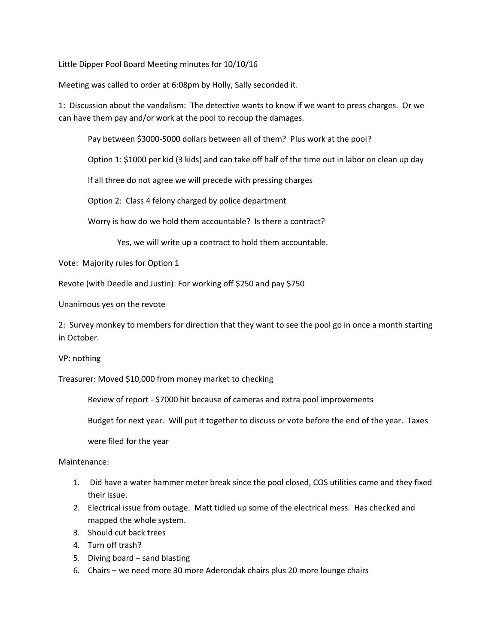Little Dipper Pool Board Meeting minutes for 10/10/16

Meeting was called to order at 6:08pm by Holly, Sally seconded it.

1: Discussion about the vandalism: The detective wants to know if we want to press charges. Or we can have them pay and/or work at the pool to recoup the damages.

Pay between \$3000-5000 dollars between all of them? Plus work at the pool?

Option 1: \$1000 per kid (3 kids) and can take off half of the time out in labor on clean up day

If all three do not agree we will precede with pressing charges

Option 2: Class 4 felony charged by police department

Worry is how do we hold them accountable? Is there a contract?

Yes, we will write up a contract to hold them accountable.

Vote: Majority rules for Option 1

Revote (with Deedle and Justin): For working off \$250 and pay \$750

Unanimous yes on the revote

2: Survey monkey to members for direction that they want to see the pool go in once a month starting in October.

VP: nothing

Treasurer: Moved \$10,000 from money market to checking

Review of report - \$7000 hit because of cameras and extra pool improvements

Budget for next year. Will put it together to discuss or vote before the end of the year. Taxes

were filed for the year

Maintenance:

- 1. Did have a water hammer meter break since the pool closed, COS utilities came and they fixed their issue.
- 2. Electrical issue from outage. Matt tidied up some of the electrical mess. Has checked and mapped the whole system.
- 3. Should cut back trees
- 4. Turn off trash?
- 5. Diving board sand blasting
- 6. Chairs we need more 30 more Aderondak chairs plus 20 more lounge chairs